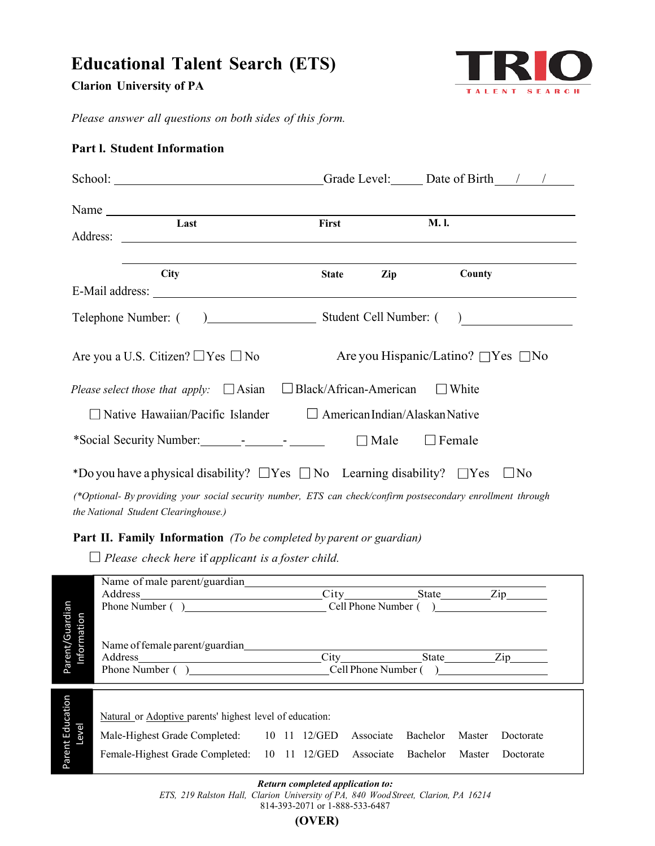# **Educational Talent Search (ETS)**

**Clarion University of PA**



 *Please answer all questions on both sides of this form.*

| School: Crack Level: Date of Birth 1                                                                                                                                                                                                                                                                                                                                                                                  |              |                |                                               |
|-----------------------------------------------------------------------------------------------------------------------------------------------------------------------------------------------------------------------------------------------------------------------------------------------------------------------------------------------------------------------------------------------------------------------|--------------|----------------|-----------------------------------------------|
| Name $\frac{1}{\sqrt{1-\frac{1}{2}}\sqrt{1-\frac{1}{2}}\sqrt{1-\frac{1}{2}}\sqrt{1-\frac{1}{2}}\sqrt{1-\frac{1}{2}}\sqrt{1-\frac{1}{2}}\sqrt{1-\frac{1}{2}}\sqrt{1-\frac{1}{2}}\sqrt{1-\frac{1}{2}}\sqrt{1-\frac{1}{2}}\sqrt{1-\frac{1}{2}}\sqrt{1-\frac{1}{2}}\sqrt{1-\frac{1}{2}}\sqrt{1-\frac{1}{2}}\sqrt{1-\frac{1}{2}}\sqrt{1-\frac{1}{2}}\sqrt{1-\frac{1}{2}}\sqrt{1-\frac{1}{2}}\sqrt{1-\frac{1}{2}}\$<br>Last | First        |                | <b>M.I.</b>                                   |
|                                                                                                                                                                                                                                                                                                                                                                                                                       |              |                |                                               |
| <b>City</b>                                                                                                                                                                                                                                                                                                                                                                                                           | <b>State</b> | $\mathbf{Zip}$ | County                                        |
|                                                                                                                                                                                                                                                                                                                                                                                                                       |              |                |                                               |
|                                                                                                                                                                                                                                                                                                                                                                                                                       |              |                |                                               |
| Are you a U.S. Citizen? $\Box$ Yes $\Box$ No                                                                                                                                                                                                                                                                                                                                                                          |              |                | Are you Hispanic/Latino? $\Box$ Yes $\Box$ No |
| <i>Please select those that apply:</i> $\Box$ Asian $\Box$ Black/African-American                                                                                                                                                                                                                                                                                                                                     |              |                | $\Box$ White                                  |
| $\Box$ Native Hawaiian/Pacific Islander $\Box$ American Indian/Alaskan Native                                                                                                                                                                                                                                                                                                                                         |              |                |                                               |
|                                                                                                                                                                                                                                                                                                                                                                                                                       |              |                |                                               |
| *Do you have a physical disability? $\Box$ Yes $\Box$ No Learning disability? $\Box$ Yes                                                                                                                                                                                                                                                                                                                              |              |                | $\Box$ No                                     |
| (*Optional- By providing your social security number, ETS can check/confirm postsecondary enrollment through<br><i>the National Student Clearinghouse.)</i>                                                                                                                                                                                                                                                           |              |                |                                               |

# **Part l. Student Information**

**Part II. Family Information** *(To be completed by parent or guardian)*

 *Please check here* if *applicant is a foster child.* 

|                                | Name of male parent/guardian                                                                                                     |  |        |                                                                                                                  |          |        |             |  |
|--------------------------------|----------------------------------------------------------------------------------------------------------------------------------|--|--------|------------------------------------------------------------------------------------------------------------------|----------|--------|-------------|--|
|                                | Address_<br><u> 1980 - Jan Samuel Barbara, politik eta politik eta politik eta politik eta politik eta politik eta politik e</u> |  |        | City in the City of the City of the City of the City of the City of the City of the City of the City of the City |          |        | $\frac{Zip$ |  |
|                                | Phone Number ()                                                                                                                  |  |        | Cell Phone Number (                                                                                              |          |        |             |  |
| Parent/Guardian<br>Information | Name of female parent/guardian<br>Address<br><u> 1980 - Andrea Andrew Maria (h. 1980).</u>                                       |  |        | $City \quad \qquad \qquad$                                                                                       |          |        | $\chi$ ip   |  |
|                                |                                                                                                                                  |  |        |                                                                                                                  |          |        |             |  |
|                                | Natural or Adoptive parents' highest level of education:                                                                         |  |        |                                                                                                                  |          |        |             |  |
|                                | Male-Highest Grade Completed: 10 11                                                                                              |  | 12/GED | Associate                                                                                                        | Bachelor | Master | Doctorate   |  |
|                                |                                                                                                                                  |  |        |                                                                                                                  |          |        |             |  |
| Parent Education<br>Level      | Female-Highest Grade Completed: 10 11 12/GED                                                                                     |  |        | Associate                                                                                                        | Bachelor | Master | Doctorate   |  |

#### *Return completed application to:*

*ETS, 219 Ralston Hall, Clarion University of PA, 840 Wood Street, Clarion, PA 16214*

814-393-2071 or 1-888-533-6487

**(OVER)**